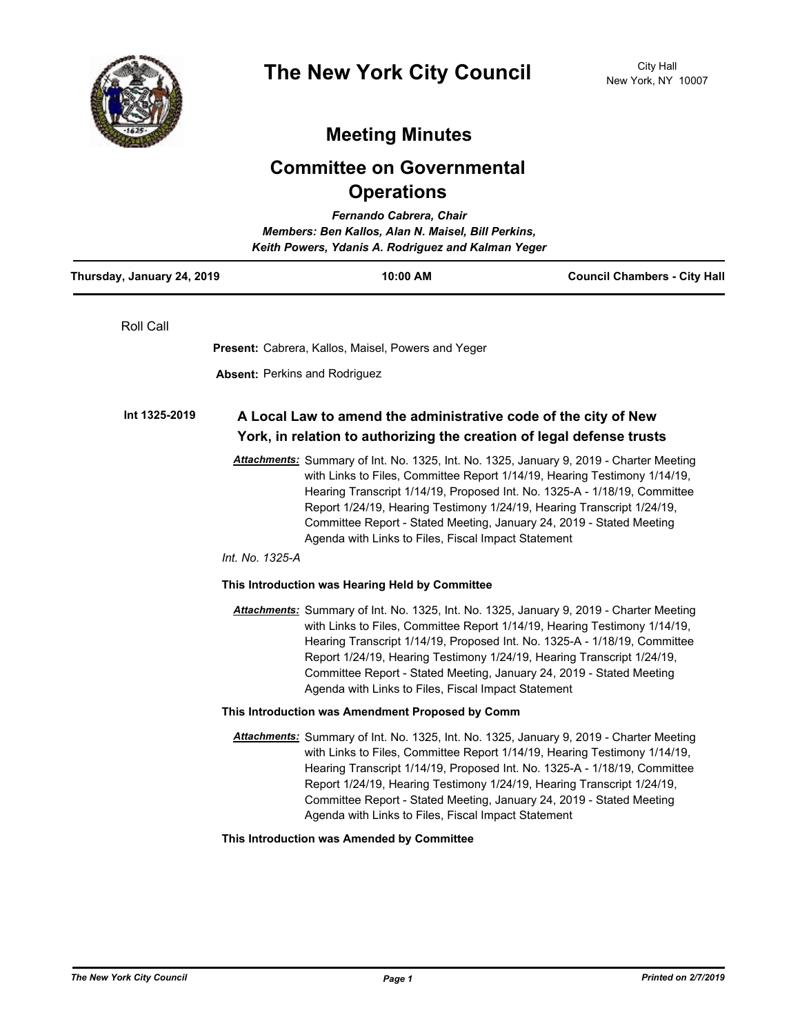

## **Meeting Minutes**

## **Committee on Governmental Operations**

| Fernando Cabrera, Chair<br>Members: Ben Kallos, Alan N. Maisel, Bill Perkins,<br>Keith Powers, Ydanis A. Rodriguez and Kalman Yeger |                                                                                                                                                                                                                                                                                                                                                                                                                                                                               |                                     |
|-------------------------------------------------------------------------------------------------------------------------------------|-------------------------------------------------------------------------------------------------------------------------------------------------------------------------------------------------------------------------------------------------------------------------------------------------------------------------------------------------------------------------------------------------------------------------------------------------------------------------------|-------------------------------------|
| Thursday, January 24, 2019                                                                                                          | 10:00 AM                                                                                                                                                                                                                                                                                                                                                                                                                                                                      | <b>Council Chambers - City Hall</b> |
| Roll Call                                                                                                                           |                                                                                                                                                                                                                                                                                                                                                                                                                                                                               |                                     |
|                                                                                                                                     | Present: Cabrera, Kallos, Maisel, Powers and Yeger                                                                                                                                                                                                                                                                                                                                                                                                                            |                                     |
|                                                                                                                                     | <b>Absent: Perkins and Rodriguez</b>                                                                                                                                                                                                                                                                                                                                                                                                                                          |                                     |
| Int 1325-2019                                                                                                                       | A Local Law to amend the administrative code of the city of New<br>York, in relation to authorizing the creation of legal defense trusts                                                                                                                                                                                                                                                                                                                                      |                                     |
|                                                                                                                                     | Attachments: Summary of Int. No. 1325, Int. No. 1325, January 9, 2019 - Charter Meeting<br>with Links to Files, Committee Report 1/14/19, Hearing Testimony 1/14/19,<br>Hearing Transcript 1/14/19, Proposed Int. No. 1325-A - 1/18/19, Committee<br>Report 1/24/19, Hearing Testimony 1/24/19, Hearing Transcript 1/24/19,<br>Committee Report - Stated Meeting, January 24, 2019 - Stated Meeting<br>Agenda with Links to Files, Fiscal Impact Statement<br>Int. No. 1325-A |                                     |
|                                                                                                                                     | This Introduction was Hearing Held by Committee                                                                                                                                                                                                                                                                                                                                                                                                                               |                                     |
|                                                                                                                                     | Attachments: Summary of Int. No. 1325, Int. No. 1325, January 9, 2019 - Charter Meeting<br>with Links to Files, Committee Report 1/14/19, Hearing Testimony 1/14/19,<br>Hearing Transcript 1/14/19, Proposed Int. No. 1325-A - 1/18/19, Committee<br>Report 1/24/19, Hearing Testimony 1/24/19, Hearing Transcript 1/24/19,<br>Committee Report - Stated Meeting, January 24, 2019 - Stated Meeting<br>Agenda with Links to Files, Fiscal Impact Statement                    |                                     |
|                                                                                                                                     | This Introduction was Amendment Proposed by Comm                                                                                                                                                                                                                                                                                                                                                                                                                              |                                     |
|                                                                                                                                     | Attachments: Summary of Int. No. 1325, Int. No. 1325, January 9, 2019 - Charter Meeting<br>with Links to Files, Committee Report 1/14/19, Hearing Testimony 1/14/19,<br>Hearing Transcript 1/14/19, Proposed Int. No. 1325-A - 1/18/19, Committee<br>Report 1/24/19, Hearing Testimony 1/24/19, Hearing Transcript 1/24/19,<br>Committee Report - Stated Meeting, January 24, 2019 - Stated Meeting<br>Agenda with Links to Files, Fiscal Impact Statement                    |                                     |
|                                                                                                                                     | This Introduction was Amended by Committee                                                                                                                                                                                                                                                                                                                                                                                                                                    |                                     |